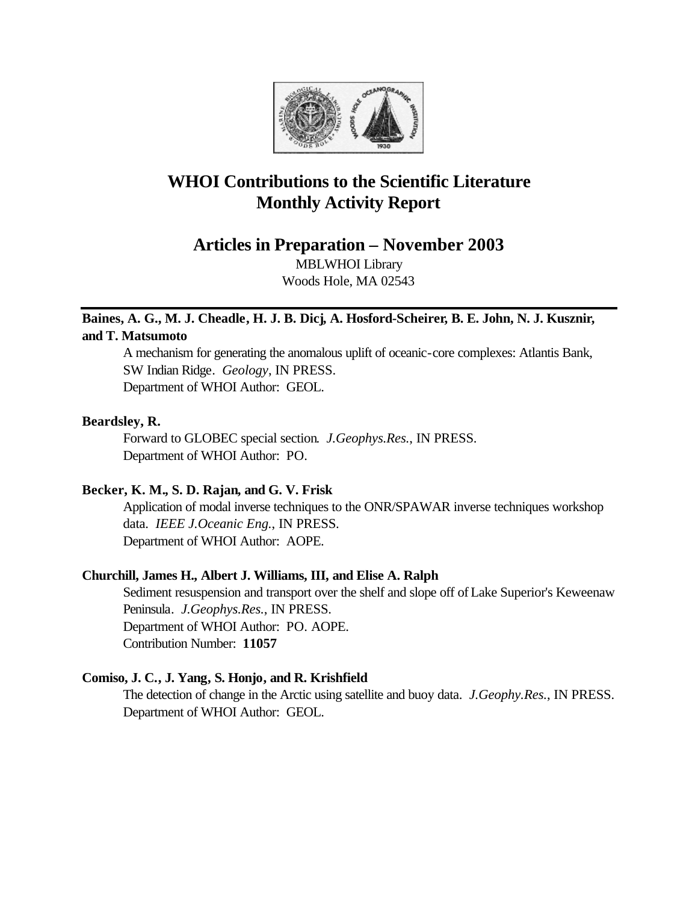

# **WHOI Contributions to the Scientific Literature Monthly Activity Report**

**Articles in Preparation – November 2003**

MBLWHOI Library Woods Hole, MA 02543

# **Baines, A. G., M. J. Cheadle, H. J. B. Dicj, A. Hosford-Scheirer, B. E. John, N. J. Kusznir, and T. Matsumoto**

A mechanism for generating the anomalous uplift of oceanic-core complexes: Atlantis Bank, SW Indian Ridge. *Geology*, IN PRESS. Department of WHOI Author: GEOL.

# **Beardsley, R.**

Forward to GLOBEC special section. *J.Geophys.Res.*, IN PRESS. Department of WHOI Author: PO.

# **Becker, K. M., S. D. Rajan, and G. V. Frisk**

Application of modal inverse techniques to the ONR/SPAWAR inverse techniques workshop data. *IEEE J.Oceanic Eng.*, IN PRESS. Department of WHOI Author: AOPE.

# **Churchill, James H., Albert J. Williams, III, and Elise A. Ralph**

Sediment resuspension and transport over the shelf and slope off of Lake Superior's Keweenaw Peninsula. *J.Geophys.Res.*, IN PRESS. Department of WHOI Author: PO. AOPE. Contribution Number: **11057**

# **Comiso, J. C., J. Yang, S. Honjo, and R. Krishfield**

The detection of change in the Arctic using satellite and buoy data. *J.Geophy.Res.*, IN PRESS. Department of WHOI Author: GEOL.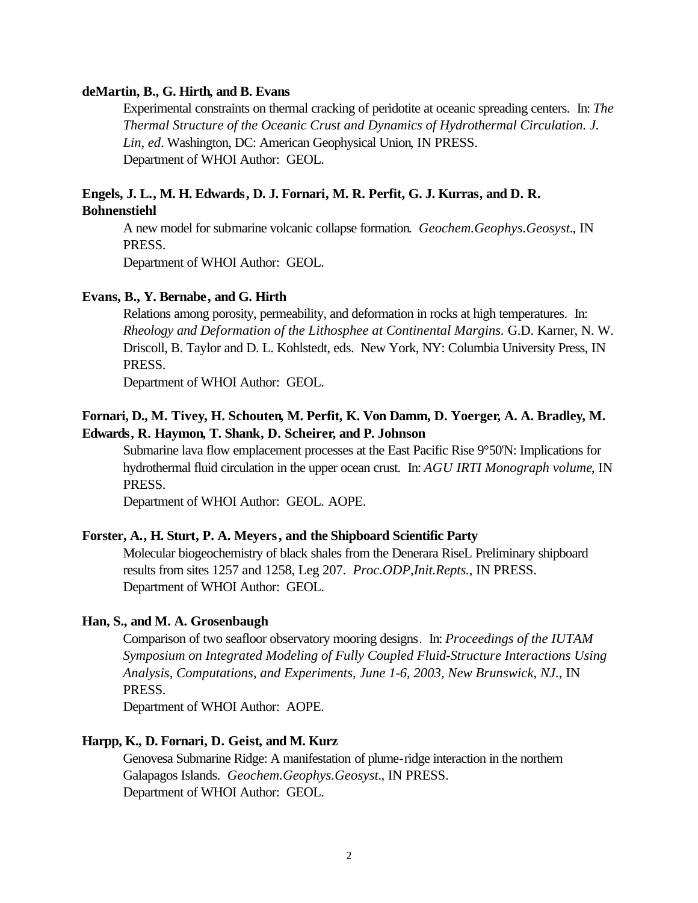## **deMartin, B., G. Hirth, and B. Evans**

Experimental constraints on thermal cracking of peridotite at oceanic spreading centers. In: *The Thermal Structure of the Oceanic Crust and Dynamics of Hydrothermal Circulation. J. Lin, ed*. Washington, DC: American Geophysical Union, IN PRESS. Department of WHOI Author: GEOL.

# **Engels, J. L., M. H. Edwards, D. J. Fornari, M. R. Perfit, G. J. Kurras, and D. R. Bohnenstiehl**

A new model for submarine volcanic collapse formation. *Geochem.Geophys.Geosyst.*, IN PRESS.

Department of WHOI Author: GEOL.

## **Evans, B., Y. Bernabe, and G. Hirth**

Relations among porosity, permeability, and deformation in rocks at high temperatures. In: *Rheology and Deformation of the Lithosphee at Continental Margins.* G.D. Karner, N. W. Driscoll, B. Taylor and D. L. Kohlstedt, eds. New York, NY: Columbia University Press, IN PRESS.

Department of WHOI Author: GEOL.

# **Fornari, D., M. Tivey, H. Schouten, M. Perfit, K. Von Damm, D. Yoerger, A. A. Bradley, M. Edwards, R. Haymon, T. Shank, D. Scheirer, and P. Johnson**

Submarine lava flow emplacement processes at the East Pacific Rise 9°50'N: Implications for hydrothermal fluid circulation in the upper ocean crust. In: *AGU IRTI Monograph volume*, IN PRESS.

Department of WHOI Author: GEOL. AOPE.

# **Forster, A., H. Sturt, P. A. Meyers, and the Shipboard Scientific Party**

Molecular biogeochemistry of black shales from the Denerara RiseL Preliminary shipboard results from sites 1257 and 1258, Leg 207. *Proc.ODP,Init.Repts.*, IN PRESS. Department of WHOI Author: GEOL.

## **Han, S., and M. A. Grosenbaugh**

Comparison of two seafloor observatory mooring designs. In: *Proceedings of the IUTAM Symposium on Integrated Modeling of Fully Coupled Fluid-Structure Interactions Using Analysis, Computations, and Experiments, June 1-6, 2003, New Brunswick, NJ.*, IN PRESS.

Department of WHOI Author: AOPE.

## **Harpp, K., D. Fornari, D. Geist, and M. Kurz**

Genovesa Submarine Ridge: A manifestation of plume-ridge interaction in the northern Galapagos Islands. *Geochem.Geophys.Geosyst.*, IN PRESS. Department of WHOI Author: GEOL.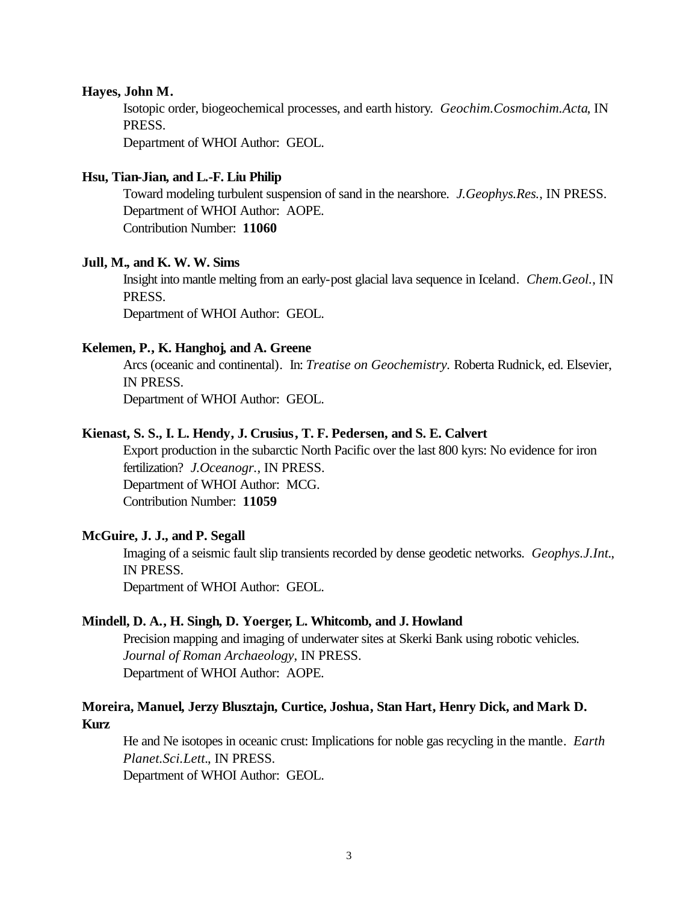#### **Hayes, John M.**

Isotopic order, biogeochemical processes, and earth history. *Geochim.Cosmochim.Acta*, IN PRESS.

Department of WHOI Author: GEOL.

## **Hsu, Tian-Jian, and L.-F. Liu Philip**

Toward modeling turbulent suspension of sand in the nearshore. *J.Geophys.Res.*, IN PRESS. Department of WHOI Author: AOPE. Contribution Number: **11060**

# **Jull, M., and K. W. W. Sims**

Insight into mantle melting from an early-post glacial lava sequence in Iceland. *Chem.Geol.*, IN PRESS.

Department of WHOI Author: GEOL.

## **Kelemen, P., K. Hanghoj, and A. Greene**

Arcs (oceanic and continental). In: *Treatise on Geochemistry.* Roberta Rudnick, ed. Elsevier, IN PRESS.

Department of WHOI Author: GEOL.

## **Kienast, S. S., I. L. Hendy, J. Crusius, T. F. Pedersen, and S. E. Calvert**

Export production in the subarctic North Pacific over the last 800 kyrs: No evidence for iron fertilization? *J.Oceanogr.*, IN PRESS. Department of WHOI Author: MCG. Contribution Number: **11059**

#### **McGuire, J. J., and P. Segall**

Imaging of a seismic fault slip transients recorded by dense geodetic networks. *Geophys.J.Int.*, IN PRESS. Department of WHOI Author: GEOL.

#### **Mindell, D. A., H. Singh, D. Yoerger, L. Whitcomb, and J. Howland**

Precision mapping and imaging of underwater sites at Skerki Bank using robotic vehicles. *Journal of Roman Archaeology*, IN PRESS. Department of WHOI Author: AOPE.

# **Moreira, Manuel, Jerzy Blusztajn, Curtice, Joshua, Stan Hart, Henry Dick, and Mark D. Kurz**

He and Ne isotopes in oceanic crust: Implications for noble gas recycling in the mantle. *Earth Planet.Sci.Lett.*, IN PRESS.

Department of WHOI Author: GEOL.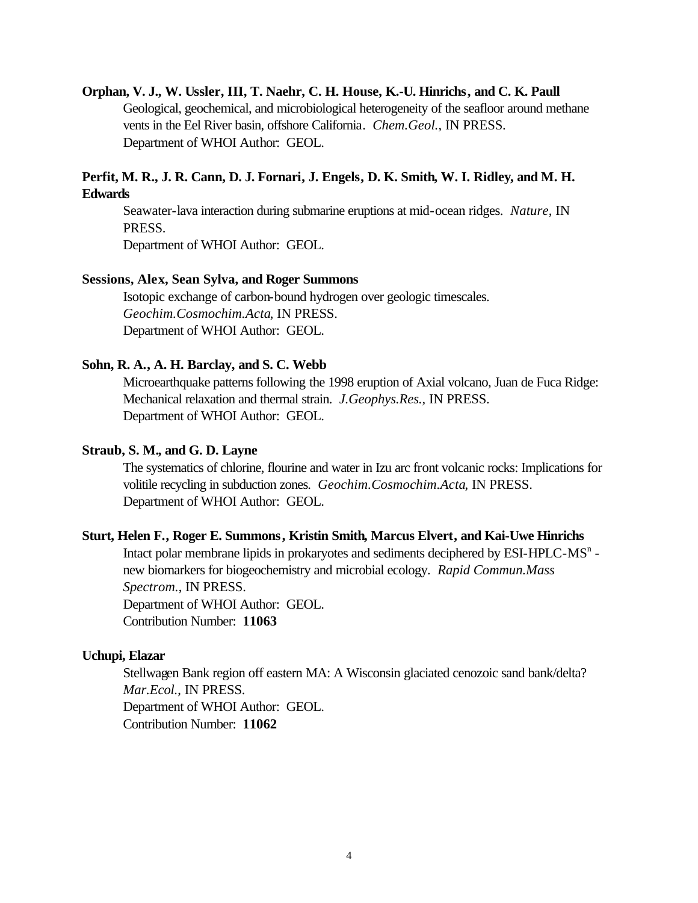## **Orphan, V. J., W. Ussler, III, T. Naehr, C. H. House, K.-U. Hinrichs, and C. K. Paull**

Geological, geochemical, and microbiological heterogeneity of the seafloor around methane vents in the Eel River basin, offshore California. *Chem.Geol.*, IN PRESS. Department of WHOI Author: GEOL.

# **Perfit, M. R., J. R. Cann, D. J. Fornari, J. Engels, D. K. Smith, W. I. Ridley, and M. H. Edwards**

Seawater-lava interaction during submarine eruptions at mid-ocean ridges. *Nature*, IN PRESS.

Department of WHOI Author: GEOL.

#### **Sessions, Alex, Sean Sylva, and Roger Summons**

Isotopic exchange of carbon-bound hydrogen over geologic timescales. *Geochim.Cosmochim.Acta*, IN PRESS. Department of WHOI Author: GEOL.

#### **Sohn, R. A., A. H. Barclay, and S. C. Webb**

Microearthquake patterns following the 1998 eruption of Axial volcano, Juan de Fuca Ridge: Mechanical relaxation and thermal strain. *J.Geophys.Res.*, IN PRESS. Department of WHOI Author: GEOL.

# **Straub, S. M., and G. D. Layne**

The systematics of chlorine, flourine and water in Izu arc front volcanic rocks: Implications for volitile recycling in subduction zones. *Geochim.Cosmochim.Acta*, IN PRESS. Department of WHOI Author: GEOL.

# **Sturt, Helen F., Roger E. Summons, Kristin Smith, Marcus Elvert, and Kai-Uwe Hinrichs**

Intact polar membrane lipids in prokaryotes and sediments deciphered by ESI-HPLC-MS<sup>n</sup> new biomarkers for biogeochemistry and microbial ecology. *Rapid Commun.Mass Spectrom.*, IN PRESS. Department of WHOI Author: GEOL. Contribution Number: **11063**

#### **Uchupi, Elazar**

Stellwagen Bank region off eastern MA: A Wisconsin glaciated cenozoic sand bank/delta? *Mar.Ecol.*, IN PRESS. Department of WHOI Author: GEOL. Contribution Number: **11062**